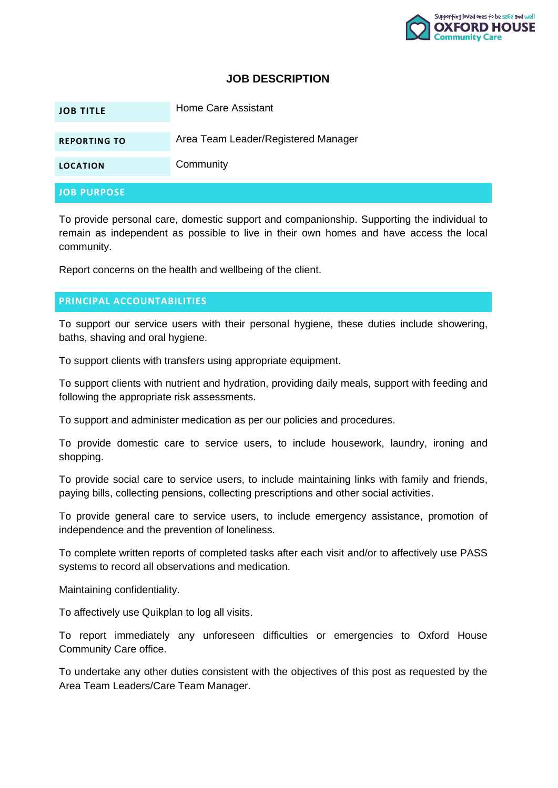

### **JOB DESCRIPTION**

| <b>JOB TITLE</b>    | Home Care Assistant                 |
|---------------------|-------------------------------------|
| <b>REPORTING TO</b> | Area Team Leader/Registered Manager |
| <b>LOCATION</b>     | Community                           |
| <b>JOB PURPOSE</b>  |                                     |

To provide personal care, domestic support and companionship. Supporting the individual to remain as independent as possible to live in their own homes and have access the local community.

Report concerns on the health and wellbeing of the client.

#### **PRINCIPAL ACCOUNTABILITIES**

To support our service users with their personal hygiene, these duties include showering, baths, shaving and oral hygiene.

To support clients with transfers using appropriate equipment.

To support clients with nutrient and hydration, providing daily meals, support with feeding and following the appropriate risk assessments.

To support and administer medication as per our policies and procedures.

To provide domestic care to service users, to include housework, laundry, ironing and shopping.

To provide social care to service users, to include maintaining links with family and friends, paying bills, collecting pensions, collecting prescriptions and other social activities.

To provide general care to service users, to include emergency assistance, promotion of independence and the prevention of loneliness.

To complete written reports of completed tasks after each visit and/or to affectively use PASS systems to record all observations and medication.

Maintaining confidentiality.

To affectively use Quikplan to log all visits.

To report immediately any unforeseen difficulties or emergencies to Oxford House Community Care office.

To undertake any other duties consistent with the objectives of this post as requested by the Area Team Leaders/Care Team Manager.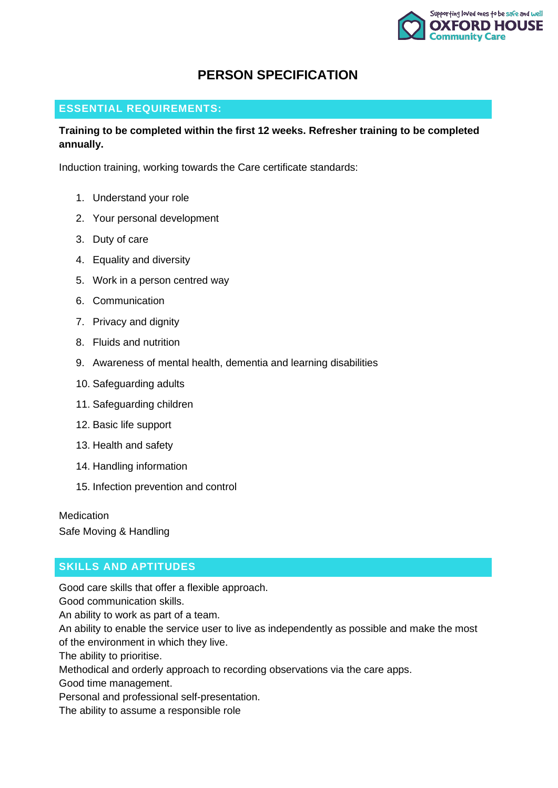

# **PERSON SPECIFICATION**

### **ESSENTIAL REQUIREMENTS:**

### **Training to be completed within the first 12 weeks. Refresher training to be completed annually.**

Induction training, working towards the Care certificate standards:

- 1. Understand your role
- 2. Your personal development
- 3. Duty of care
- 4. Equality and diversity
- 5. Work in a person centred way
- 6. Communication
- 7. Privacy and dignity
- 8. Fluids and nutrition
- 9. Awareness of mental health, dementia and learning disabilities
- 10. Safeguarding adults
- 11. Safeguarding children
- 12. Basic life support
- 13. Health and safety
- 14. Handling information
- 15. Infection prevention and control

**Medication** 

Safe Moving & Handling

## **SKILLS AND APTITUDES**

Good care skills that offer a flexible approach.

Good communication skills.

An ability to work as part of a team.

An ability to enable the service user to live as independently as possible and make the most of the environment in which they live.

The ability to prioritise.

Methodical and orderly approach to recording observations via the care apps.

Good time management.

Personal and professional self-presentation.

The ability to assume a responsible role